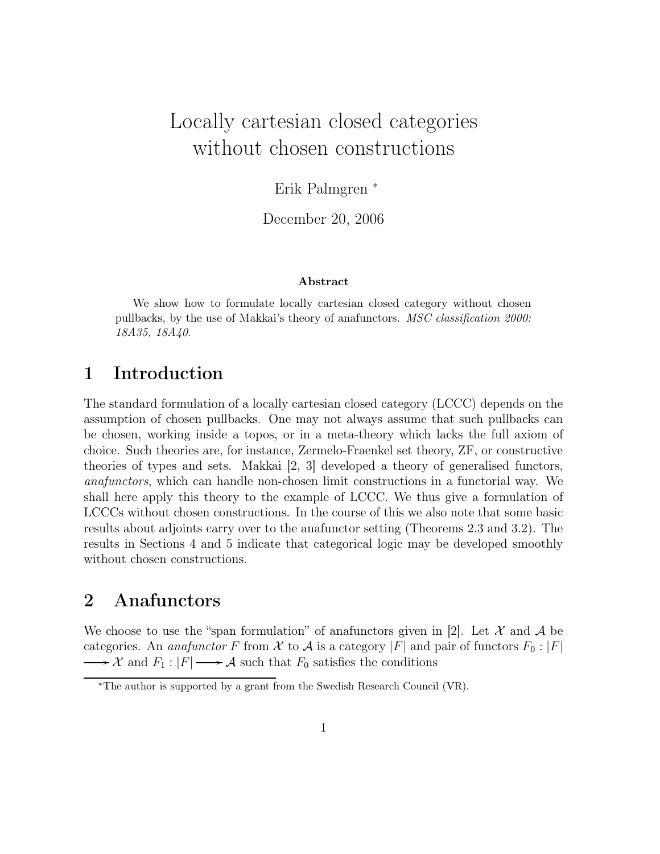# Locally cartesian closed categories without chosen constructions

Erik Palmgren <sup>∗</sup>

December 20, 2006

#### Abstract

We show how to formulate locally cartesian closed category without chosen pullbacks, by the use of Makkai's theory of anafunctors. MSC classification 2000: 18A35, 18A40.

### 1 Introduction

The standard formulation of a locally cartesian closed category (LCCC) depends on the assumption of chosen pullbacks. One may not always assume that such pullbacks can be chosen, working inside a topos, or in a meta-theory which lacks the full axiom of choice. Such theories are, for instance, Zermelo-Fraenkel set theory, ZF, or constructive theories of types and sets. Makkai [2, 3] developed a theory of generalised functors, anafunctors, which can handle non-chosen limit constructions in a functorial way. We shall here apply this theory to the example of LCCC. We thus give a formulation of LCCCs without chosen constructions. In the course of this we also note that some basic results about adjoints carry over to the anafunctor setting (Theorems 2.3 and 3.2). The results in Sections 4 and 5 indicate that categorical logic may be developed smoothly without chosen constructions.

## 2 Anafunctors

We choose to use the "span formulation" of anafunctors given in [2]. Let  $\mathcal X$  and  $\mathcal A$  be categories. An anafunctor F from X to A is a category |F| and pair of functors  $F_0: |F|$  $\mathcal{X}$  and  $F_1: |F| \longrightarrow \mathcal{A}$  such that  $F_0$  satisfies the conditions

<sup>∗</sup>The author is supported by a grant from the Swedish Research Council (VR).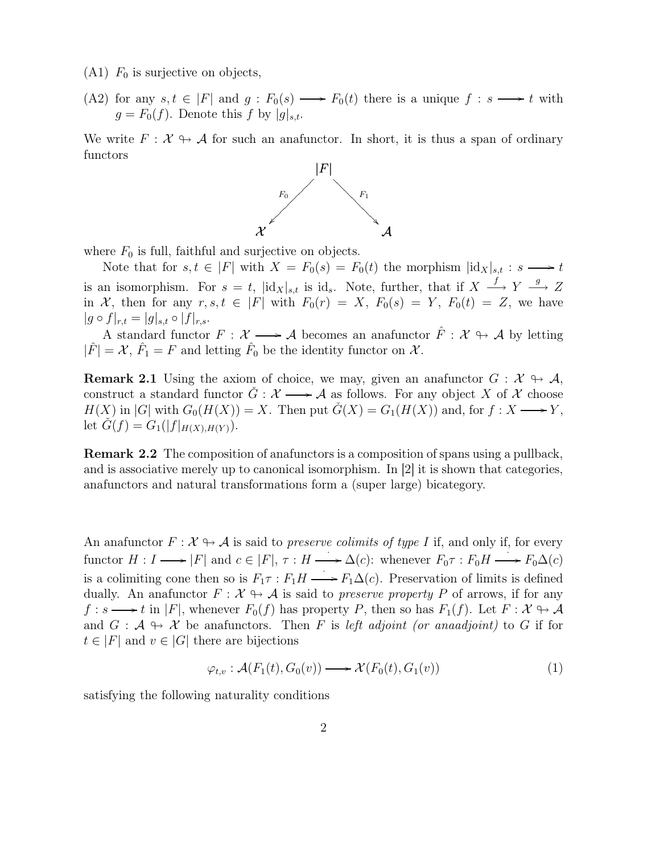$(A1)$   $F_0$  is surjective on objects,

(A2) for any  $s, t \in |F|$  and  $g: F_0(s) \longrightarrow F_0(t)$  there is a unique  $f: s \longrightarrow t$  with  $g = F_0(f)$ . Denote this f by  $|g|_{s,t}$ .

We write  $F: \mathcal{X} \rightarrow \mathcal{A}$  for such an anafunctor. In short, it is thus a span of ordinary functors



where  $F_0$  is full, faithful and surjective on objects.

Note that for  $s, t \in |F|$  with  $X = F_0(s) = F_0(t)$  the morphism  $\|\mathrm{id}_X\|_{s,t} : s \longrightarrow t$ is an isomorphism. For  $s = t$ ,  $|\mathrm{id}_X|_{s,t}$  is id<sub>s</sub>. Note, further, that if  $X \stackrel{f}{\longrightarrow} Y \stackrel{g}{\longrightarrow} Z$ in X, then for any  $r, s, t \in |F|$  with  $F_0(r) = X$ ,  $F_0(s) = Y$ ,  $F_0(t) = Z$ , we have  $|g \circ f|_{r,t} = |g|_{s,t} \circ |f|_{r,s}.$ 

A standard functor  $F: \mathcal{X} \longrightarrow \mathcal{A}$  becomes an anafunctor  $\hat{F}: \mathcal{X} \rightarrow \mathcal{A}$  by letting  $|\hat{F}| = \mathcal{X}, \hat{F}_1 = F$  and letting  $\hat{F}_0$  be the identity functor on  $\mathcal{X}$ .

**Remark 2.1** Using the axiom of choice, we may, given an anafunctor  $G : \mathcal{X} \rightarrow \mathcal{A}$ , construct a standard functor  $G: \mathcal{X} \longrightarrow \mathcal{A}$  as follows. For any object X of X choose  $H(X)$  in |G| with  $G_0(H(X)) = X$ . Then put  $\check{G}(X) = G_1(H(X))$  and, for  $f: X \longrightarrow Y$ , let  $G(f) = G_1(|f|_{H(X), H(Y)})$ .

Remark 2.2 The composition of anafunctors is a composition of spans using a pullback, and is associative merely up to canonical isomorphism. In [2] it is shown that categories, anafunctors and natural transformations form a (super large) bicategory.

An anafunctor  $F: \mathcal{X} \to \mathcal{A}$  is said to preserve colimits of type I if, and only if, for every functor  $H: I \longrightarrow |F|$  and  $c \in |F|, \tau: H \longrightarrow \Delta(c)$ : whenever  $F_0 \tau: F_0 H \longrightarrow F_0 \Delta(c)$ is a colimiting cone then so is  $F_1 \tau : F_1 H \longrightarrow F_1 \Delta(c)$ . Preservation of limits is defined dually. An anafunctor  $F: \mathcal{X} \rightarrow \mathcal{A}$  is said to *preserve property* P of arrows, if for any  $f: s \longrightarrow t$  in |F|, whenever  $F_0(f)$  has property P, then so has  $F_1(f)$ . Let  $F: \mathcal{X} \to \mathcal{A}$ and  $G : \mathcal{A} \to \mathcal{X}$  be anafunctors. Then F is left adjoint (or anaadjoint) to G if for  $t \in |F|$  and  $v \in |G|$  there are bijections

$$
\varphi_{t,v} : \mathcal{A}(F_1(t), G_0(v)) \longrightarrow \mathcal{X}(F_0(t), G_1(v)) \tag{1}
$$

satisfying the following naturality conditions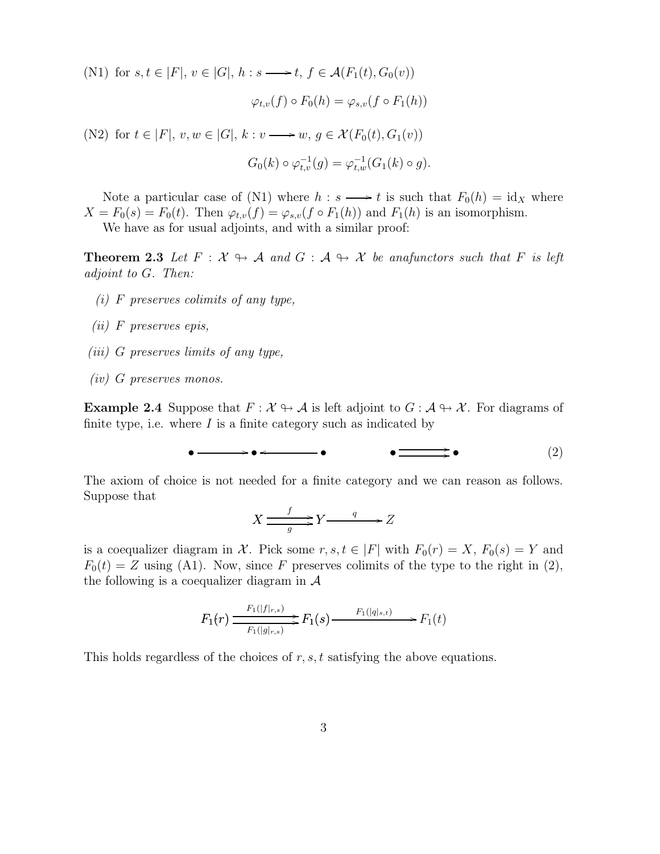(N1) for  $s, t \in |F|, v \in |G|, h : s \longrightarrow t, f \in \mathcal{A}(F_1(t), G_0(v))$ 

$$
\varphi_{t,v}(f) \circ F_0(h) = \varphi_{s,v}(f \circ F_1(h))
$$

(N2) for  $t \in |F|, v, w \in |G|, k : v \longrightarrow w, g \in \mathcal{X}(F_0(t), G_1(v))$  $G_0(k) \circ \varphi_{t,v}^{-1}(g) = \varphi_{t,w}^{-1}(G_1(k) \circ g).$ 

Note a particular case of (N1) where  $h : s \longrightarrow t$  is such that  $F_0(h) = id_X$  where  $X = F_0(s) = F_0(t)$ . Then  $\varphi_{t,v}(f) = \varphi_{s,v}(f \circ F_1(h))$  and  $F_1(h)$  is an isomorphism. We have as for usual adjoints, and with a similar proof:

**Theorem 2.3** Let  $F : \mathcal{X} \rightarrow \mathcal{A}$  and  $G : \mathcal{A} \rightarrow \mathcal{X}$  be anafunctors such that F is left adjoint to G. Then:

- (i) F preserves colimits of any type,
- (ii) F preserves epis,
- (iii) G preserves limits of any type,
- (iv) G preserves monos.

**Example 2.4** Suppose that  $F: \mathcal{X} \rightarrow \mathcal{A}$  is left adjoint to  $G: \mathcal{A} \rightarrow \mathcal{X}$ . For diagrams of finite type, i.e. where  $I$  is a finite category such as indicated by

$$
\bullet \longrightarrow \bullet \longleftarrow \longrightarrow \bullet \qquad \bullet \longrightarrow \bullet \qquad (2)
$$

The axiom of choice is not needed for a finite category and we can reason as follows. Suppose that

$$
X \xrightarrow{f} Y \xrightarrow{q} Z
$$

is a coequalizer diagram in X. Pick some  $r, s, t \in |F|$  with  $F_0(r) = X$ ,  $F_0(s) = Y$  and  $F_0(t) = Z$  using (A1). Now, since F preserves colimits of the type to the right in (2), the following is a coequalizer diagram in  $A$ 

$$
F_1(r) \xrightarrow{F_1(|f|_{r,s})} F_1(s) \xrightarrow{F_1(|q|_{s,t})} F_1(t)
$$

This holds regardless of the choices of  $r, s, t$  satisfying the above equations.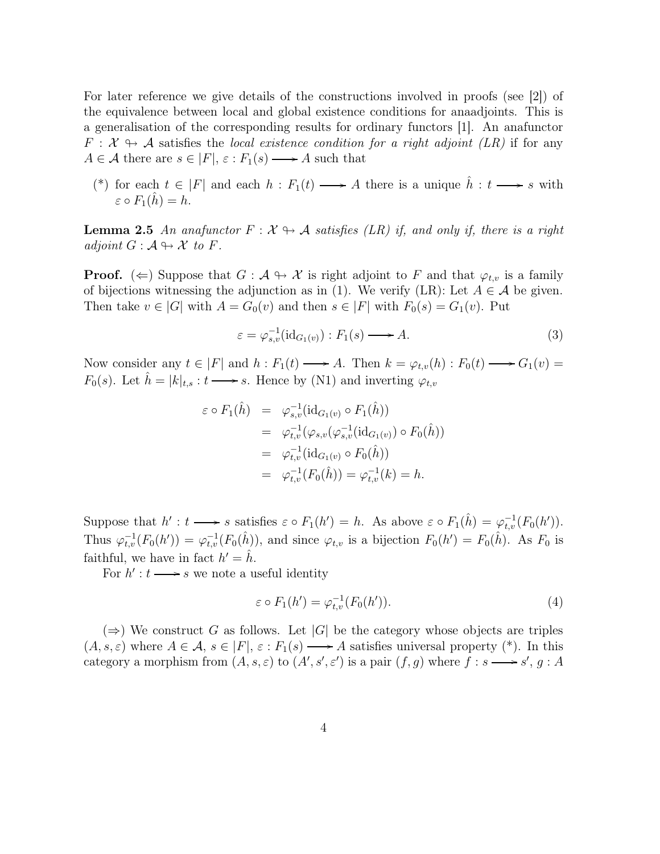For later reference we give details of the constructions involved in proofs (see [2]) of the equivalence between local and global existence conditions for anaadjoints. This is a generalisation of the corresponding results for ordinary functors [1]. An anafunctor  $F: \mathcal{X} \rightarrow \mathcal{A}$  satisfies the local existence condition for a right adjoint (LR) if for any  $A \in \mathcal{A}$  there are  $s \in |F|, \varepsilon : F_1(s) \longrightarrow A$  such that

(\*) for each  $t \in |F|$  and each  $h : F_1(t) \longrightarrow A$  there is a unique  $\hat{h} : t \longrightarrow s$  with  $\varepsilon \circ F_1(h) = h.$ 

**Lemma 2.5** An anafunctor  $F : \mathcal{X} \rightarrow \mathcal{A}$  satisfies (LR) if, and only if, there is a right adjoint  $G : \mathcal{A} \rightarrow \mathcal{X}$  to F.

**Proof.** ( $\Leftarrow$ ) Suppose that  $G : \mathcal{A} \to \mathcal{X}$  is right adjoint to F and that  $\varphi_{t,v}$  is a family of bijections witnessing the adjunction as in (1). We verify (LR): Let  $A \in \mathcal{A}$  be given. Then take  $v \in |G|$  with  $A = G_0(v)$  and then  $s \in |F|$  with  $F_0(s) = G_1(v)$ . Put

$$
\varepsilon = \varphi_{s,v}^{-1}(\text{id}_{G_1(v)}) : F_1(s) \longrightarrow A. \tag{3}
$$

Now consider any  $t \in |F|$  and  $h : F_1(t) \longrightarrow A$ . Then  $k = \varphi_{t,v}(h) : F_0(t) \longrightarrow G_1(v) =$  $F_0(s)$ . Let  $\hat{h} = |k|_{t,s} : t \longrightarrow s$ . Hence by (N1) and inverting  $\varphi_{t,v}$ 

$$
\varepsilon \circ F_1(\hat{h}) = \varphi_{s,v}^{-1}(\mathrm{id}_{G_1(v)} \circ F_1(\hat{h}))
$$
  
\n
$$
= \varphi_{t,v}^{-1}(\varphi_{s,v}(\varphi_{s,v}^{-1}(\mathrm{id}_{G_1(v)}) \circ F_0(\hat{h}))
$$
  
\n
$$
= \varphi_{t,v}^{-1}(\mathrm{id}_{G_1(v)} \circ F_0(\hat{h}))
$$
  
\n
$$
= \varphi_{t,v}^{-1}(F_0(\hat{h})) = \varphi_{t,v}^{-1}(k) = h.
$$

Suppose that  $h': t \longrightarrow s$  satisfies  $\varepsilon \circ F_1(h') = h$ . As above  $\varepsilon \circ F_1(\hat{h}) = \varphi_{t,v}^{-1}(F_0(h'))$ . Thus  $\varphi_{t,v}^{-1}(F_0(h')) = \varphi_{t,v}^{-1}(F_0(\hat{h}))$ , and since  $\varphi_{t,v}$  is a bijection  $F_0(h') = F_0(\hat{h})$ . As  $F_0$  is faithful, we have in fact  $h' = \hat{h}$ .

For  $h' : t \longrightarrow s$  we note a useful identity

$$
\varepsilon \circ F_1(h') = \varphi_{t,v}^{-1}(F_0(h')). \tag{4}
$$

 $(\Rightarrow)$  We construct G as follows. Let |G| be the category whose objects are triples  $(A, s, \varepsilon)$  where  $A \in \mathcal{A}, s \in |F|, \varepsilon : F_1(s) \longrightarrow A$  satisfies universal property (\*). In this category a morphism from  $(A, s, \varepsilon)$  to  $(A', s', \varepsilon')$  is a pair  $(f, g)$  where  $f : s \longrightarrow s', g : A$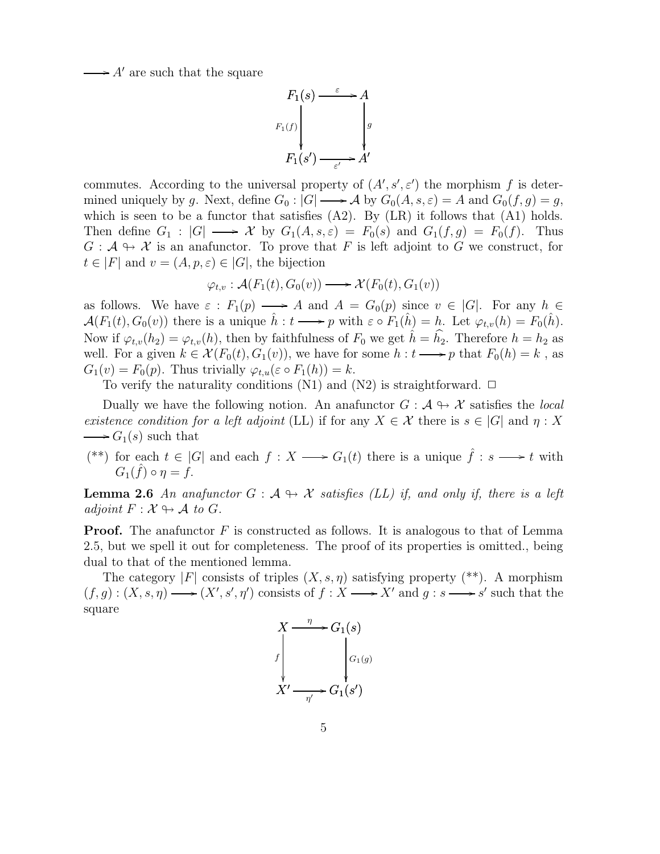$\rightarrow$  A' are such that the square



commutes. According to the universal property of  $(A', s', \varepsilon')$  the morphism f is determined uniquely by g. Next, define  $G_0: |G| \longrightarrow \mathcal{A}$  by  $G_0(A, s, \varepsilon) = A$  and  $G_0(f, g) = g$ , which is seen to be a functor that satisfies  $(A2)$ . By  $(LR)$  it follows that  $(A1)$  holds. Then define  $G_1: |G| \longrightarrow \mathcal{X}$  by  $G_1(A, s, \varepsilon) = F_0(s)$  and  $G_1(f, g) = F_0(f)$ . Thus  $G: \mathcal{A} \to \mathcal{X}$  is an anafunctor. To prove that F is left adjoint to G we construct, for  $t \in |F|$  and  $v = (A, p, \varepsilon) \in |G|$ , the bijection

$$
\varphi_{t,v} : \mathcal{A}(F_1(t), G_0(v)) \longrightarrow \mathcal{X}(F_0(t), G_1(v))
$$

as follows. We have  $\varepsilon : F_1(p) \longrightarrow A$  and  $A = G_0(p)$  since  $v \in |G|$ . For any  $h \in$  $\mathcal{A}(F_1(t), G_0(v))$  there is a unique  $\hat{h}: t \longrightarrow p$  with  $\varepsilon \circ F_1(\hat{h}) = h$ . Let  $\varphi_{t,v}(h) = F_0(\hat{h})$ . Now if  $\varphi_{t,v}(h_2) = \varphi_{t,v}(h)$ , then by faithfulness of  $F_0$  we get  $\hat{h} = \hat{h_2}$ . Therefore  $h = h_2$  as well. For a given  $k \in \mathcal{X}(F_0(t), G_1(v))$ , we have for some  $h: t \longrightarrow p$  that  $F_0(h) = k$ , as  $G_1(v) = F_0(p)$ . Thus trivially  $\varphi_{t,u}(\varepsilon \circ F_1(h)) = k$ .

To verify the naturality conditions (N1) and (N2) is straightforward.  $\Box$ 

Dually we have the following notion. An anafunctor  $G : \mathcal{A} \rightarrow \mathcal{X}$  satisfies the *local* existence condition for a left adjoint (LL) if for any  $X \in \mathcal{X}$  there is  $s \in |G|$  and  $\eta : X$  $\longrightarrow G_1(s)$  such that

(\*\*) for each  $t \in |G|$  and each  $f: X \longrightarrow G_1(t)$  there is a unique  $\hat{f}: s \longrightarrow t$  with  $G_1(\hat{f}) \circ \eta = \hat{f}.$ 

**Lemma 2.6** An anafunctor  $G : A \rightarrow \mathcal{X}$  satisfies (LL) if, and only if, there is a left adjoint  $F: \mathcal{X} \rightarrow \mathcal{A}$  to G.

**Proof.** The anafunctor  $F$  is constructed as follows. It is analogous to that of Lemma 2.5, but we spell it out for completeness. The proof of its properties is omitted., being dual to that of the mentioned lemma.

The category |F| consists of triples  $(X, s, \eta)$  satisfying property (\*\*). A morphism  $(f,g): (X, s, \eta) \longrightarrow (X', s', \eta')$  consists of  $f : X \longrightarrow X'$  and  $g : s \longrightarrow s'$  such that the square

$$
X \xrightarrow{\eta} G_1(s)
$$
\n
$$
f \downarrow G_1(g)
$$
\n
$$
X' \xrightarrow{\eta'} G_1(s')
$$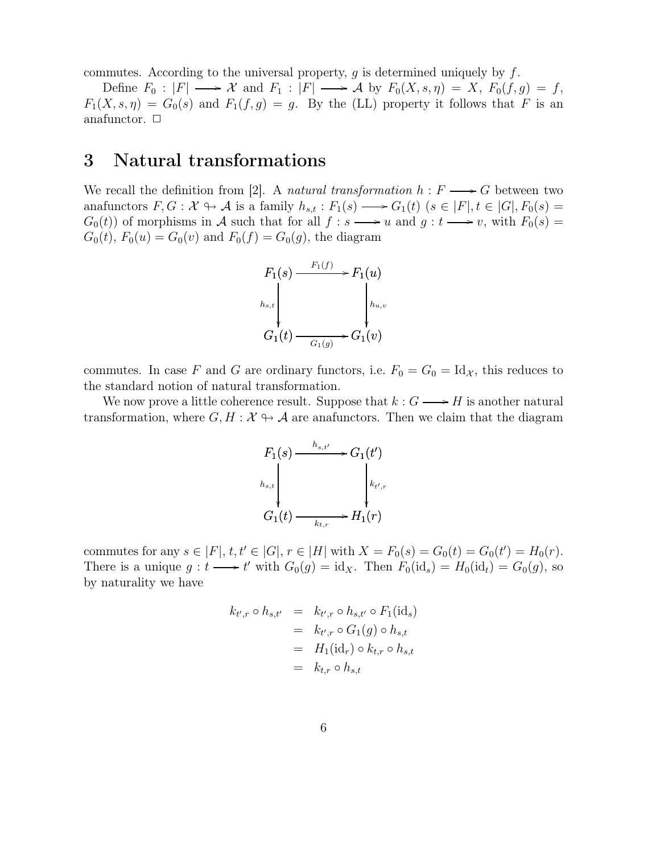commutes. According to the universal property,  $g$  is determined uniquely by  $f$ .

Define  $F_0: |F| \longrightarrow \mathcal{X}$  and  $F_1: |F| \longrightarrow \mathcal{A}$  by  $F_0(X, s, \eta) = X$ ,  $F_0(f, g) = f$ ,  $F_1(X, s, \eta) = G_0(s)$  and  $F_1(f, g) = g$ . By the (LL) property it follows that F is an anafunctor.  $\Box$ 

#### 3 Natural transformations

We recall the definition from [2]. A natural transformation  $h : F \longrightarrow G$  between two anafunctors  $F, G: \mathcal{X} \to \mathcal{A}$  is a family  $h_{s,t}: F_1(s) \longrightarrow G_1(t)$   $(s \in |F|, t \in |G|, F_0(s) =$  $G_0(t)$  of morphisms in A such that for all  $f : s \longrightarrow u$  and  $g : t \longrightarrow v$ , with  $F_0(s) =$  $G_0(t)$ ,  $F_0(u) = G_0(v)$  and  $F_0(f) = G_0(g)$ , the diagram



commutes. In case F and G are ordinary functors, i.e.  $F_0 = G_0 = Id_{\mathcal{X}}$ , this reduces to the standard notion of natural transformation.

We now prove a little coherence result. Suppose that  $k: G \longrightarrow H$  is another natural transformation, where  $G, H : \mathcal{X} \rightarrow \mathcal{A}$  are anafunctors. Then we claim that the diagram

$$
F_1(s) \xrightarrow{h_{s,t'}} G_1(t')
$$
  
\n
$$
h_{s,t}
$$
  
\n
$$
G_1(t) \xrightarrow{k_{t,r}} H_1(r)
$$

commutes for any  $s \in |F|, t, t' \in |G|, r \in |H|$  with  $X = F_0(s) = G_0(t) = G_0(t') = H_0(r)$ . There is a unique  $g: t \longrightarrow t'$  with  $G_0(g) = id_X$ . Then  $F_0(id_s) = H_0(id_t) = G_0(g)$ , so by naturality we have

$$
k_{t',r} \circ h_{s,t'} = k_{t',r} \circ h_{s,t'} \circ F_1(\text{id}_s)
$$
  
=  $k_{t',r} \circ G_1(g) \circ h_{s,t}$   
=  $H_1(\text{id}_r) \circ k_{t,r} \circ h_{s,t}$   
=  $k_{t,r} \circ h_{s,t}$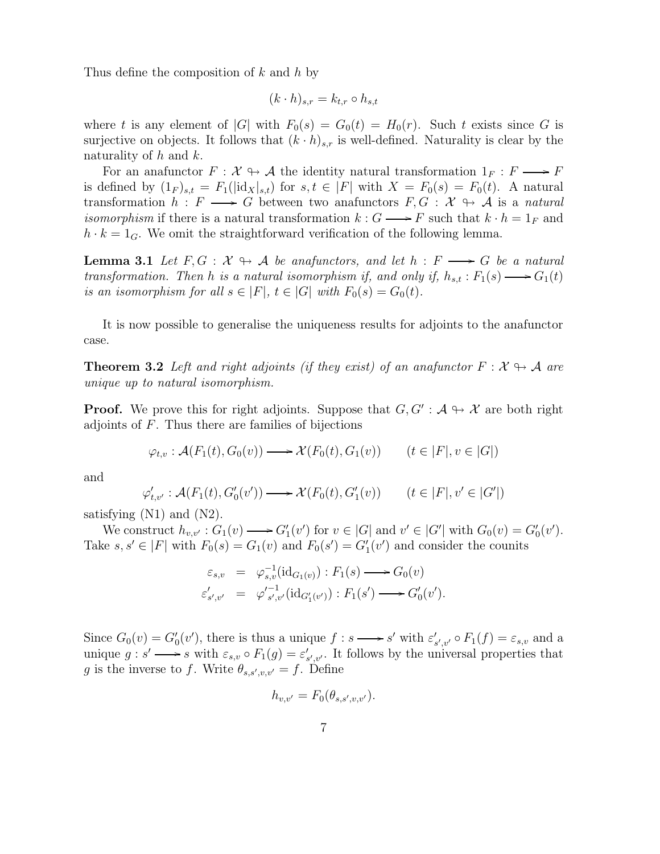Thus define the composition of k and h by

$$
(k \cdot h)_{s,r} = k_{t,r} \circ h_{s,t}
$$

where t is any element of |G| with  $F_0(s) = G_0(t) = H_0(r)$ . Such t exists since G is surjective on objects. It follows that  $(k \cdot h)_{s,r}$  is well-defined. Naturality is clear by the naturality of  $h$  and  $k$ .

For an anafunctor  $F: \mathcal{X} \rightarrow \mathcal{A}$  the identity natural transformation  $1_F : F \longrightarrow F$ is defined by  $(1_F)_{s,t} = F_1(|\text{idx}|_{s,t})$  for  $s,t \in |F|$  with  $X = F_0(s) = F_0(t)$ . A natural transformation  $h : F \longrightarrow G$  between two anafunctors  $F, G : \mathcal{X} \rightarrow \mathcal{A}$  is a natural *isomorphism* if there is a natural transformation  $k : G \longrightarrow F$  such that  $k \cdot h = 1_F$  and  $h \cdot k = 1_G$ . We omit the straightforward verification of the following lemma.

**Lemma 3.1** Let  $F, G : \mathcal{X} \rightarrow \mathcal{A}$  be anafunctors, and let  $h : F \longrightarrow G$  be a natural transformation. Then h is a natural isomorphism if, and only if,  $h_{s,t}: F_1(s) \longrightarrow G_1(t)$ is an isomorphism for all  $s \in |F|$ ,  $t \in |G|$  with  $F_0(s) = G_0(t)$ .

It is now possible to generalise the uniqueness results for adjoints to the anafunctor case.

**Theorem 3.2** Left and right adjoints (if they exist) of an anafunctor  $F : \mathcal{X} \rightarrow \mathcal{A}$  are unique up to natural isomorphism.

**Proof.** We prove this for right adjoints. Suppose that  $G, G': A \rightarrow \mathcal{X}$  are both right adjoints of  $F$ . Thus there are families of bijections

$$
\varphi_{t,v} : \mathcal{A}(F_1(t), G_0(v)) \longrightarrow \mathcal{X}(F_0(t), G_1(v)) \qquad (t \in |F|, v \in |G|)
$$

and

$$
\varphi'_{t,v'} : \mathcal{A}(F_1(t), G'_0(v')) \longrightarrow \mathcal{X}(F_0(t), G'_1(v)) \qquad (t \in |F|, v' \in |G'|)
$$

satisfying (N1) and (N2).

We construct  $h_{v,v'} : G_1(v) \longrightarrow G'_1(v')$  for  $v \in |G|$  and  $v' \in |G'|$  with  $G_0(v) = G'_0(v')$ . Take  $s, s' \in |F|$  with  $F_0(s) = G_1(v)$  and  $F_0(s') = G_1'(v')$  and consider the counits

$$
\varepsilon_{s,v} = \varphi_{s,v}^{-1}(\mathrm{id}_{G_1(v)}): F_1(s) \longrightarrow G_0(v)
$$
  

$$
\varepsilon'_{s',v'} = \varphi_{s',v'}'^{-1}(\mathrm{id}_{G'_1(v')}) : F_1(s') \longrightarrow G'_0(v').
$$

Since  $G_0(v) = G'_0(v')$ , there is thus a unique  $f : s \longrightarrow s'$  with  $\varepsilon'_{s',v'} \circ F_1(f) = \varepsilon_{s,v}$  and a unique  $g: s' \longrightarrow s$  with  $\varepsilon_{s,v} \circ F_1(g) = \varepsilon'_{s',v'}$ . It follows by the universal properties that g is the inverse to f. Write  $\theta_{s,s',v,v'} = f$ . Define

$$
h_{v,v'} = F_0(\theta_{s,s',v,v'}).
$$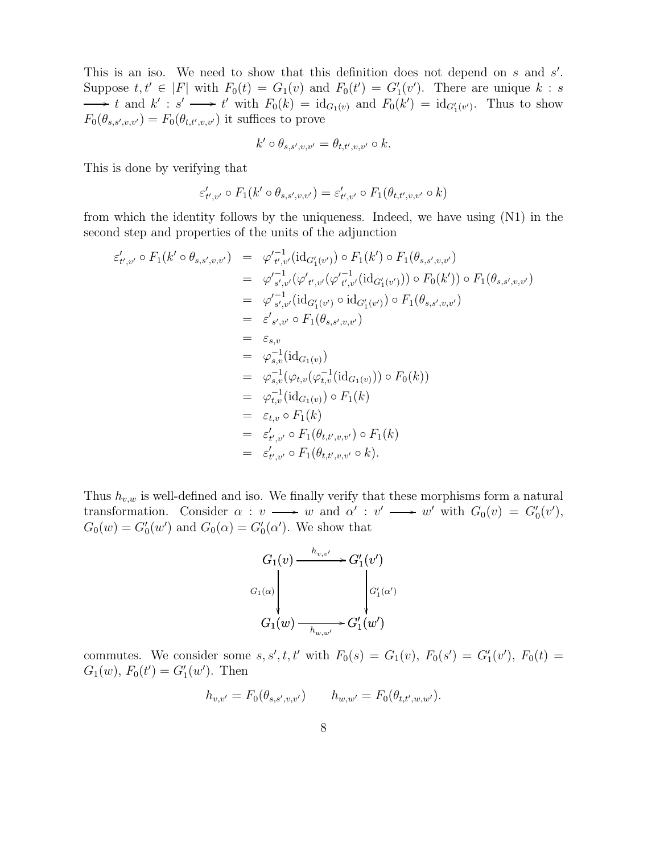This is an iso. We need to show that this definition does not depend on  $s$  and  $s'$ . Suppose  $t, t' \in |F|$  with  $F_0(t) = G_1(v)$  and  $F_0(t') = G_1'(v')$ . There are unique  $k : s$ t and  $k' : s' \longrightarrow t'$  with  $F_0(k) = \mathrm{id}_{G_1(v)}$  and  $F_0(k') = \mathrm{id}_{G'_1(v')}$ . Thus to show  $F_0(\theta_{s,s',v,v'}) = F_0(\theta_{t,t',v,v'})$  it suffices to prove

$$
k' \circ \theta_{s,s',v,v'} = \theta_{t,t',v,v'} \circ k.
$$

This is done by verifying that

$$
\varepsilon'_{t',v'} \circ F_1(k' \circ \theta_{s,s',v,v'}) = \varepsilon'_{t',v'} \circ F_1(\theta_{t,t',v,v'} \circ k)
$$

from which the identity follows by the uniqueness. Indeed, we have using (N1) in the second step and properties of the units of the adjunction

$$
\varepsilon'_{t',v'} \circ F_1(k' \circ \theta_{s,s',v,v'}) = \varphi'^{-1}_{t',v'}(\mathrm{id}_{G'_1(v')}) \circ F_1(k') \circ F_1(\theta_{s,s',v,v'}) \n= \varphi'^{-1}_{s',v'}(\varphi'_{t',v'}(\varphi'^{-1}_{t',v'}(\mathrm{id}_{G'_1(v'))}) \circ F_0(k')) \circ F_1(\theta_{s,s',v,v'}) \n= \varphi'^{-1}_{s',v'}(\mathrm{id}_{G'_1(v')} \circ \mathrm{id}_{G'_1(v')}) \circ F_1(\theta_{s,s',v,v'}) \n= \varepsilon'_{s',v'} \circ F_1(\theta_{s,s',v,v'}) \n= \varepsilon_{s,v} \n= \varphi^{-1}_{s,v}(\mathrm{id}_{G_1(v)}) \n= \varphi^{-1}_{s,v}(\varphi_{t,v}(\varphi_{t,v}^{-1}(\mathrm{id}_{G_1(v)})) \circ F_0(k)) \n= \varphi^{-1}_{t,v}(\mathrm{id}_{G_1(v)}) \circ F_1(k) \n= \varepsilon_{t,v} \circ F_1(k) \n= \varepsilon'_{t',v'} \circ F_1(\theta_{t,t',v,v'} \circ k).
$$

Thus  $h_{v,w}$  is well-defined and iso. We finally verify that these morphisms form a natural transformation. Consider  $\alpha : v \longrightarrow w$  and  $\alpha' : v' \longrightarrow w'$  with  $G_0(v) = G'_0(v')$ ,  $G_0(w) = G'_0(w')$  and  $G_0(\alpha) = G'_0(\alpha')$ . We show that

$$
G_1(v) \xrightarrow{h_{v,v'}} G'_1(v')
$$
  
\n
$$
G_1(\alpha) \downarrow \qquad \qquad G'_1(\alpha')
$$
  
\n
$$
G_1(w) \xrightarrow{h_{w,w'}} G'_1(w')
$$

commutes. We consider some  $s, s', t, t'$  with  $F_0(s) = G_1(v)$ ,  $F_0(s') = G'_1(v')$ ,  $F_0(t) =$  $G_1(w)$ ,  $F_0(t') = G'_1(w')$ . Then

$$
h_{v,v'} = F_0(\theta_{s,s',v,v'}) \qquad h_{w,w'} = F_0(\theta_{t,t',w,w'}).
$$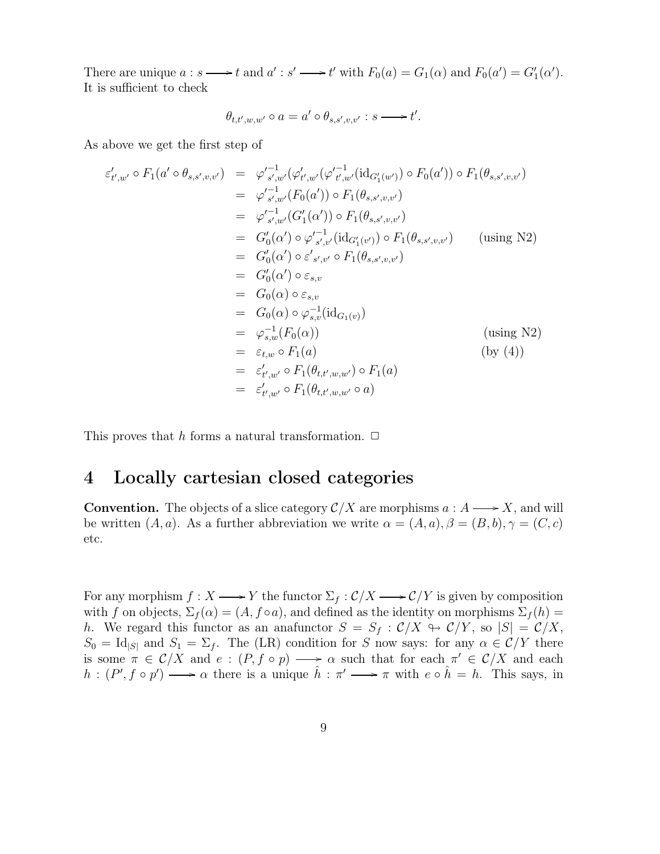There are unique  $a : s \longrightarrow t$  and  $a' : s' \longrightarrow t'$  with  $F_0(a) = G_1(\alpha)$  and  $F_0(a') = G'_1(\alpha')$ . It is sufficient to check

$$
\theta_{t,t',w,w'} \circ a = a' \circ \theta_{s,s',v,v'} : s \longrightarrow t'.
$$

As above we get the first step of

$$
\varepsilon'_{t',w'} \circ F_1(a' \circ \theta_{s,s',v,v'}) = \varphi'^{-1}_{s',w'}(\varphi'_{t',w'}(\varphi'^{-1}_{t',w'}(\mathrm{id}_{G'_1(w')}) \circ F_0(a')) \circ F_1(\theta_{s,s',v,v'})
$$
  
\n
$$
= \varphi'^{-1}_{s',w'}(F_0(a')) \circ F_1(\theta_{s,s',v,v'})
$$
  
\n
$$
= \varphi'^{-1}_{s',w'}(G'_1(\alpha')) \circ F_1(\theta_{s,s',v,v'})
$$
  
\n
$$
= G'_0(\alpha') \circ \varphi'^{-1}_{s',v'}(\mathrm{id}_{G'_1(v')}) \circ F_1(\theta_{s,s',v,v'}) \quad \text{(using N2)}
$$
  
\n
$$
= G'_0(\alpha') \circ \varepsilon'_{s,v} \circ F_1(\theta_{s,s',v,v'})
$$
  
\n
$$
= G'_0(\alpha') \circ \varepsilon_{s,v}
$$
  
\n
$$
= G_0(\alpha) \circ \varphi_{s,v}^{-1}(\mathrm{id}_{G_1(v)})
$$
  
\n
$$
= \varphi_{s,w}^{-1}(F_0(\alpha)) \quad \text{(using N2)}
$$
  
\n
$$
= \varepsilon'_{t,w'} \circ F_1(a) \quad \text{(by (4))}
$$
  
\n
$$
= \varepsilon'_{t',w'} \circ F_1(\theta_{t,t',w,w'} \circ a)
$$

This proves that h forms a natural transformation.  $\Box$ 

#### 4 Locally cartesian closed categories

**Convention.** The objects of a slice category  $\mathcal{C}/X$  are morphisms  $a : A \longrightarrow X$ , and will be written  $(A, a)$ . As a further abbreviation we write  $\alpha = (A, a), \beta = (B, b), \gamma = (C, c)$ etc.

For any morphism  $f : X \longrightarrow Y$  the functor  $\Sigma_f : C/X \longrightarrow C/Y$  is given by composition with f on objects,  $\Sigma_f(\alpha) = (A, f \circ a)$ , and defined as the identity on morphisms  $\Sigma_f(h)$ h. We regard this functor as an anafunctor  $S = S_f : C/X \rightarrow C/Y$ , so  $|S| = C/X$ ,  $S_0 = \text{Id}_{|S|}$  and  $S_1 = \Sigma_f$ . The (LR) condition for S now says: for any  $\alpha \in C/Y$  there is some  $\pi \in \mathcal{C}/X$  and  $e: (P, f \circ p) \longrightarrow \alpha$  such that for each  $\pi' \in \mathcal{C}/X$  and each  $h:(P',f\circ p')\longrightarrow \alpha$  there is a unique  $\hat{h}:\pi'\longrightarrow \pi$  with  $e\circ \hat{h}=h$ . This says, in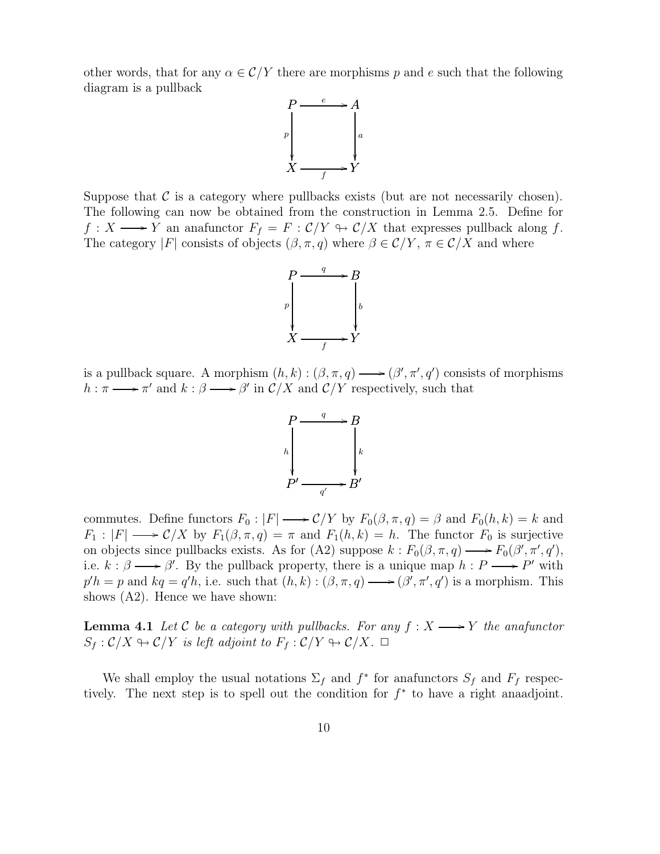other words, that for any  $\alpha \in \mathcal{C}/Y$  there are morphisms p and e such that the following diagram is a pullback



Suppose that  $\mathcal C$  is a category where pullbacks exists (but are not necessarily chosen). The following can now be obtained from the construction in Lemma 2.5. Define for  $f: X \longrightarrow Y$  an anafunctor  $F_f = F : C/Y \rightarrow C/X$  that expresses pullback along f. The category |F| consists of objects  $(\beta, \pi, q)$  where  $\beta \in \mathcal{C}/Y$ ,  $\pi \in \mathcal{C}/X$  and where



is a pullback square. A morphism  $(h, k) : (\beta, \pi, q) \longrightarrow (\beta', \pi', q')$  consists of morphisms  $h : \pi \longrightarrow \pi'$  and  $k : \beta \longrightarrow \beta'$  in  $\mathcal{C}/X$  and  $\mathcal{C}/Y$  respectively, such that



commutes. Define functors  $F_0: |F| \longrightarrow C/Y$  by  $F_0(\beta, \pi, q) = \beta$  and  $F_0(h, k) = k$  and  $F_1: |F| \longrightarrow \mathcal{C}/X$  by  $F_1(\beta, \pi, q) = \pi$  and  $F_1(h, k) = h$ . The functor  $F_0$  is surjective on objects since pullbacks exists. As for (A2) suppose  $k : F_0(\beta, \pi, q) \longrightarrow F_0(\beta', \pi', q'),$ i.e.  $k : \beta \longrightarrow \beta'$ . By the pullback property, there is a unique map  $h : P \longrightarrow P'$  with  $p'h = p$  and  $kq = q'h$ , i.e. such that  $(h, k) : (\beta, \pi, q) \longrightarrow (\beta', \pi', q')$  is a morphism. This shows (A2). Hence we have shown:

**Lemma 4.1** Let C be a category with pullbacks. For any  $f : X \longrightarrow Y$  the anafunctor  $S_f : C/X \rightarrow C/Y$  is left adjoint to  $F_f : C/Y \rightarrow C/X$ .  $\Box$ 

We shall employ the usual notations  $\Sigma_f$  and  $f^*$  for anafunctors  $S_f$  and  $F_f$  respectively. The next step is to spell out the condition for  $f^*$  to have a right anaadjoint.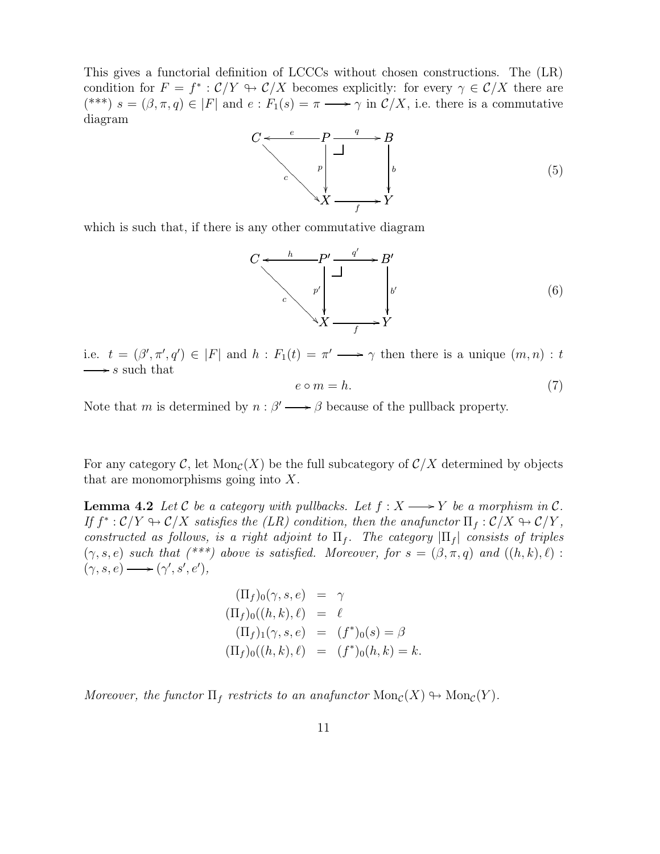This gives a functorial definition of LCCCs without chosen constructions. The (LR) condition for  $F = f^* : C/Y \to C/X$  becomes explicitly: for every  $\gamma \in C/X$  there are (\*\*\*)  $s = (\beta, \pi, q) \in |F|$  and  $e : F_1(s) = \pi \longrightarrow \gamma$  in  $\mathcal{C}/X$ , i.e. there is a commutative diagram



which is such that, if there is any other commutative diagram

$$
C \xleftarrow{h} P' \xrightarrow{q'} B'
$$
  
\n
$$
C \xleftarrow{p'} \xleftarrow{p'} \xleftarrow{p'} \xleftarrow{p'} \xleftarrow{p'} \xleftarrow{f} Y'
$$
  
\n(6)

i.e.  $t = (\beta', \pi', q') \in |F|$  and  $h : F_1(t) = \pi' \longrightarrow \gamma$  then there is a unique  $(m, n) : t$  $\longrightarrow$  s such that

$$
e \circ m = h. \tag{7}
$$

Note that m is determined by  $n : \beta' \longrightarrow \beta$  because of the pullback property.

For any category C, let  $\text{Mon}_{\mathcal{C}}(X)$  be the full subcategory of  $\mathcal{C}/X$  determined by objects that are monomorphisms going into  $X$ .

**Lemma 4.2** Let C be a category with pullbacks. Let  $f : X \longrightarrow Y$  be a morphism in C. If  $f^*: \mathcal{C}/Y \hookrightarrow \mathcal{C}/X$  satisfies the (LR) condition, then the anafunctor  $\Pi_f: \mathcal{C}/X \hookrightarrow \mathcal{C}/Y$ , constructed as follows, is a right adjoint to  $\Pi_f$ . The category  $|\Pi_f|$  consists of triples  $(\gamma, s, e)$  such that  $(*^{**})$  above is satisfied. Moreover, for  $s = (\beta, \pi, q)$  and  $((h, k), \ell)$ :  $(\gamma, s, e) \longrightarrow (\gamma', s', e'),$ 

$$
\begin{aligned}\n(\Pi_f)_0(\gamma, s, e) &= \gamma \\
(\Pi_f)_0((h, k), \ell) &= \ell \\
(\Pi_f)_1(\gamma, s, e) &= (f^*)_0(s) = \beta \\
(\Pi_f)_0((h, k), \ell) &= (f^*)_0(h, k) = k.\n\end{aligned}
$$

Moreover, the functor  $\Pi_f$  restricts to an anafunctor  $\text{Mon}_{\mathcal{C}}(X) \to \text{Mon}_{\mathcal{C}}(Y)$ .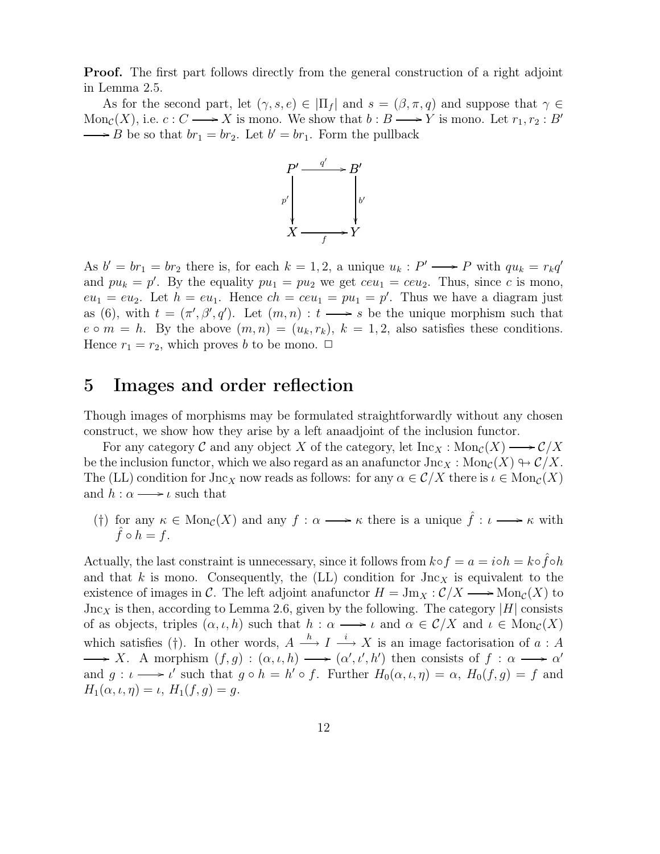**Proof.** The first part follows directly from the general construction of a right adjoint in Lemma 2.5.

As for the second part, let  $(\gamma, s, e) \in |\Pi_f|$  and  $s = (\beta, \pi, q)$  and suppose that  $\gamma \in$  $Mon_{\mathcal{C}}(X)$ , i.e.  $c : C \longrightarrow X$  is mono. We show that  $b : B \longrightarrow Y$  is mono. Let  $r_1, r_2 : B'$ B be so that  $br_1 = br_2$ . Let  $b' = br_1$ . Form the pullback



As  $b' = br_1 = br_2$  there is, for each  $k = 1, 2$ , a unique  $u_k : P' \longrightarrow P$  with  $qu_k = r_kq'$ and  $pu_k = p'$ . By the equality  $pu_1 = pu_2$  we get  $ceu_1 = ceu_2$ . Thus, since c is mono,  $eu_1 = eu_2$ . Let  $h = eu_1$ . Hence  $ch = ceu_1 = pu_1 = p'$ . Thus we have a diagram just as (6), with  $t = (\pi', \beta', q')$ . Let  $(m, n) : t \longrightarrow s$  be the unique morphism such that  $e \circ m = h$ . By the above  $(m, n) = (u_k, r_k)$ ,  $k = 1, 2$ , also satisfies these conditions. Hence  $r_1 = r_2$ , which proves b to be mono.  $\Box$ 

#### 5 Images and order reflection

Though images of morphisms may be formulated straightforwardly without any chosen construct, we show how they arise by a left anaadjoint of the inclusion functor.

For any category  $\mathcal C$  and any object X of the category, let  $\text{Inc}_X : \text{Mon}_{\mathcal C}(X) \longrightarrow \mathcal C/X$ be the inclusion functor, which we also regard as an anafunctor  $\text{Jac}_X : \text{Mon}_{\mathcal{C}}(X) \rightarrow \mathcal{C}/X$ . The (LL) condition for  $\text{Jac}_X$  now reads as follows: for any  $\alpha \in \mathcal{C}/X$  there is  $\iota \in \text{Mon}_{\mathcal{C}}(X)$ and  $h : \alpha \longrightarrow \iota$  such that

(†) for any  $\kappa \in \text{Mon}_{\mathcal{C}}(X)$  and any  $f : \alpha \longrightarrow \kappa$  there is a unique  $\hat{f} : \iota \longrightarrow \kappa$  with  $\tilde{f} \circ h = f.$ 

Actually, the last constraint is unnecessary, since it follows from  $k \circ f = a = i \circ h = k \circ \hat{f} \circ h$ and that k is mono. Consequently, the  $(LL)$  condition for  $\text{Jac}_X$  is equivalent to the existence of images in C. The left adjoint anafunctor  $H = \text{Jm}_X : \mathcal{C}/X \longrightarrow \text{Mon}_{\mathcal{C}}(X)$  to  $\text{Jac}_X$  is then, according to Lemma 2.6, given by the following. The category |H| consists of as objects, triples  $(\alpha, \iota, h)$  such that  $h : \alpha \longrightarrow \iota$  and  $\alpha \in \mathcal{C}/X$  and  $\iota \in Mon_{\mathcal{C}}(X)$ which satisfies (†). In other words,  $A \stackrel{h}{\longrightarrow} I \stackrel{i}{\longrightarrow} X$  is an image factorisation of  $a : A$ X. A morphism  $(f, g) : (\alpha, \iota, h) \longrightarrow (\alpha', \iota', h')$  then consists of  $f : \alpha \longrightarrow \alpha'$ and  $g: \iota \longrightarrow \iota'$  such that  $g \circ h = h' \circ f$ . Further  $H_0(\alpha, \iota, \eta) = \alpha$ ,  $H_0(f, g) = f$  and  $H_1(\alpha, \iota, \eta) = \iota, H_1(f, g) = g.$